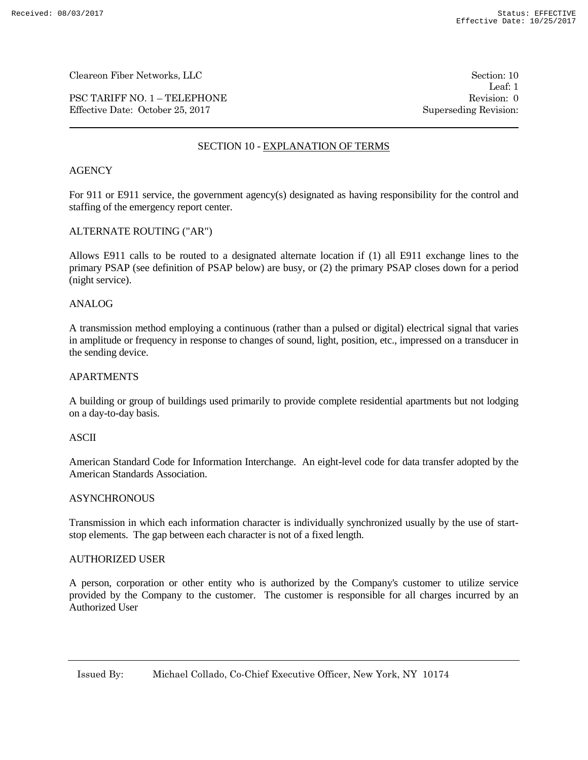PSC TARIFF NO. 1 – TELEPHONE Revision: 0 Effective Date: October 25, 2017 Superseding Revision:

Leaf: 1

# SECTION 10 - EXPLANATION OF TERMS

# **AGENCY**

For 911 or E911 service, the government agency(s) designated as having responsibility for the control and staffing of the emergency report center.

## ALTERNATE ROUTING ("AR")

Allows E911 calls to be routed to a designated alternate location if (1) all E911 exchange lines to the primary PSAP (see definition of PSAP below) are busy, or (2) the primary PSAP closes down for a period (night service).

### ANALOG

A transmission method employing a continuous (rather than a pulsed or digital) electrical signal that varies in amplitude or frequency in response to changes of sound, light, position, etc., impressed on a transducer in the sending device.

### APARTMENTS

A building or group of buildings used primarily to provide complete residential apartments but not lodging on a day-to-day basis.

## ASCII

American Standard Code for Information Interchange. An eight-level code for data transfer adopted by the American Standards Association.

# **ASYNCHRONOUS**

Transmission in which each information character is individually synchronized usually by the use of startstop elements. The gap between each character is not of a fixed length.

#### AUTHORIZED USER

A person, corporation or other entity who is authorized by the Company's customer to utilize service provided by the Company to the customer. The customer is responsible for all charges incurred by an Authorized User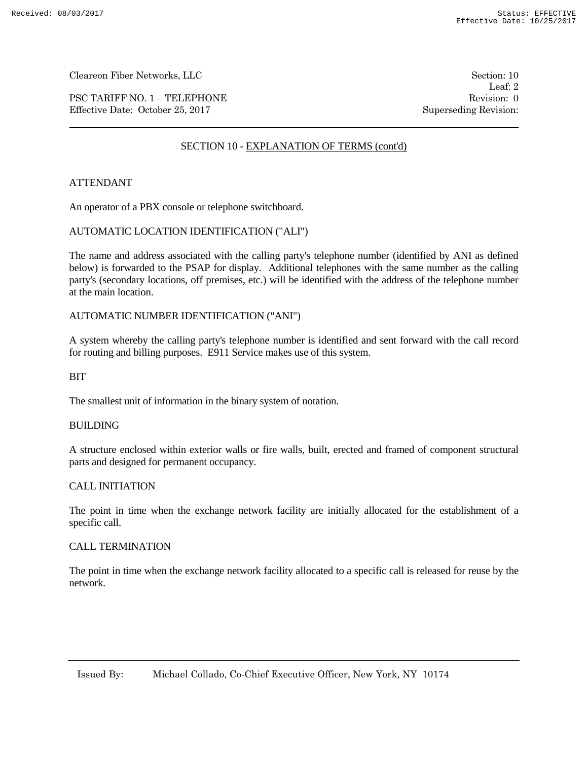PSC TARIFF NO. 1 – TELEPHONE Revision: 0 Effective Date: October 25, 2017 Superseding Revision:

Leaf: 2

# SECTION 10 - EXPLANATION OF TERMS (cont'd)

# ATTENDANT

An operator of a PBX console or telephone switchboard.

## AUTOMATIC LOCATION IDENTIFICATION ("ALI")

The name and address associated with the calling party's telephone number (identified by ANI as defined below) is forwarded to the PSAP for display. Additional telephones with the same number as the calling party's (secondary locations, off premises, etc.) will be identified with the address of the telephone number at the main location.

## AUTOMATIC NUMBER IDENTIFICATION ("ANI")

A system whereby the calling party's telephone number is identified and sent forward with the call record for routing and billing purposes. E911 Service makes use of this system.

BIT

The smallest unit of information in the binary system of notation.

#### BUILDING

A structure enclosed within exterior walls or fire walls, built, erected and framed of component structural parts and designed for permanent occupancy.

# CALL INITIATION

The point in time when the exchange network facility are initially allocated for the establishment of a specific call.

#### CALL TERMINATION

The point in time when the exchange network facility allocated to a specific call is released for reuse by the network.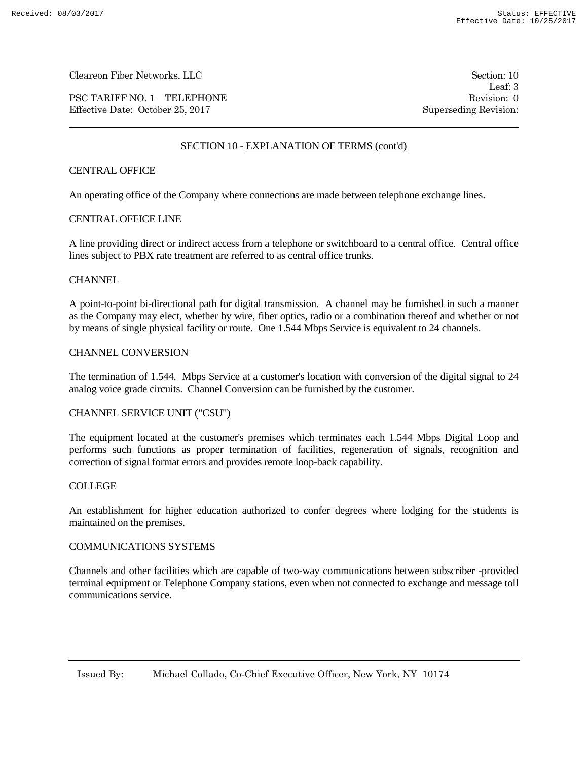PSC TARIFF NO. 1 – TELEPHONE Revision: 0 Effective Date: October 25, 2017 Superseding Revision:

Leaf: 3

# SECTION 10 - EXPLANATION OF TERMS (cont'd)

# CENTRAL OFFICE

An operating office of the Company where connections are made between telephone exchange lines.

# CENTRAL OFFICE LINE

A line providing direct or indirect access from a telephone or switchboard to a central office. Central office lines subject to PBX rate treatment are referred to as central office trunks.

# **CHANNEL**

A point-to-point bi-directional path for digital transmission. A channel may be furnished in such a manner as the Company may elect, whether by wire, fiber optics, radio or a combination thereof and whether or not by means of single physical facility or route. One 1.544 Mbps Service is equivalent to 24 channels.

# CHANNEL CONVERSION

The termination of 1.544. Mbps Service at a customer's location with conversion of the digital signal to 24 analog voice grade circuits. Channel Conversion can be furnished by the customer.

## CHANNEL SERVICE UNIT ("CSU")

The equipment located at the customer's premises which terminates each 1.544 Mbps Digital Loop and performs such functions as proper termination of facilities, regeneration of signals, recognition and correction of signal format errors and provides remote loop-back capability.

# COLLEGE

An establishment for higher education authorized to confer degrees where lodging for the students is maintained on the premises.

## COMMUNICATIONS SYSTEMS

Channels and other facilities which are capable of two-way communications between subscriber -provided terminal equipment or Telephone Company stations, even when not connected to exchange and message toll communications service.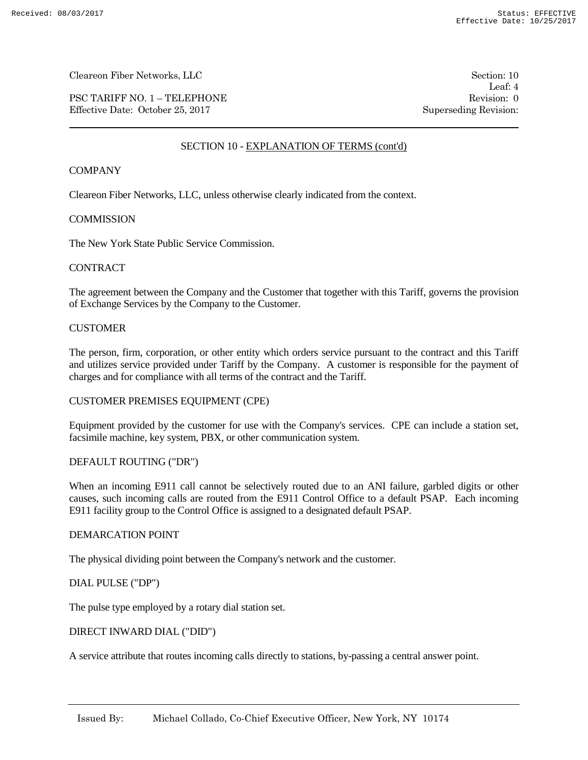PSC TARIFF NO. 1 – TELEPHONE Revision: 0 Effective Date: October 25, 2017 Superseding Revision:

Leaf: 4

# SECTION 10 - EXPLANATION OF TERMS (cont'd)

# **COMPANY**

Cleareon Fiber Networks, LLC, unless otherwise clearly indicated from the context.

## **COMMISSION**

The New York State Public Service Commission.

## **CONTRACT**

The agreement between the Company and the Customer that together with this Tariff, governs the provision of Exchange Services by the Company to the Customer.

# **CUSTOMER**

The person, firm, corporation, or other entity which orders service pursuant to the contract and this Tariff and utilizes service provided under Tariff by the Company. A customer is responsible for the payment of charges and for compliance with all terms of the contract and the Tariff.

# CUSTOMER PREMISES EQUIPMENT (CPE)

Equipment provided by the customer for use with the Company's services. CPE can include a station set, facsimile machine, key system, PBX, or other communication system.

## DEFAULT ROUTING ("DR")

When an incoming E911 call cannot be selectively routed due to an ANI failure, garbled digits or other causes, such incoming calls are routed from the E911 Control Office to a default PSAP. Each incoming E911 facility group to the Control Office is assigned to a designated default PSAP.

## DEMARCATION POINT

The physical dividing point between the Company's network and the customer.

# DIAL PULSE ("DP")

The pulse type employed by a rotary dial station set.

## DIRECT INWARD DIAL ("DID")

A service attribute that routes incoming calls directly to stations, by-passing a central answer point.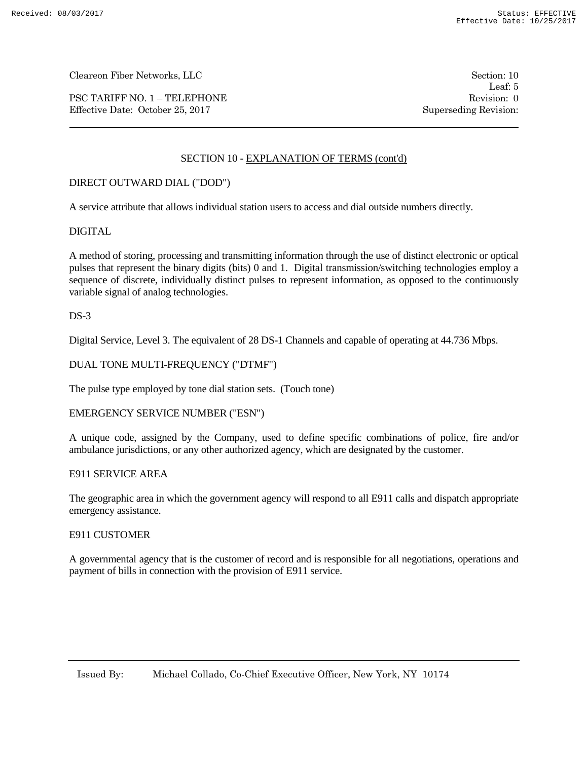PSC TARIFF NO. 1 – TELEPHONE Revision: 0 Effective Date: October 25, 2017 Superseding Revision:

Leaf: 5

# SECTION 10 - EXPLANATION OF TERMS (cont'd)

# DIRECT OUTWARD DIAL ("DOD")

A service attribute that allows individual station users to access and dial outside numbers directly.

### DIGITAL

A method of storing, processing and transmitting information through the use of distinct electronic or optical pulses that represent the binary digits (bits) 0 and 1. Digital transmission/switching technologies employ a sequence of discrete, individually distinct pulses to represent information, as opposed to the continuously variable signal of analog technologies.

 $DS-3$ 

Digital Service, Level 3. The equivalent of 28 DS-1 Channels and capable of operating at 44.736 Mbps.

# DUAL TONE MULTI-FREQUENCY ("DTMF")

The pulse type employed by tone dial station sets. (Touch tone)

#### EMERGENCY SERVICE NUMBER ("ESN")

A unique code, assigned by the Company, used to define specific combinations of police, fire and/or ambulance jurisdictions, or any other authorized agency, which are designated by the customer.

#### E911 SERVICE AREA

The geographic area in which the government agency will respond to all E911 calls and dispatch appropriate emergency assistance.

#### E911 CUSTOMER

A governmental agency that is the customer of record and is responsible for all negotiations, operations and payment of bills in connection with the provision of E911 service.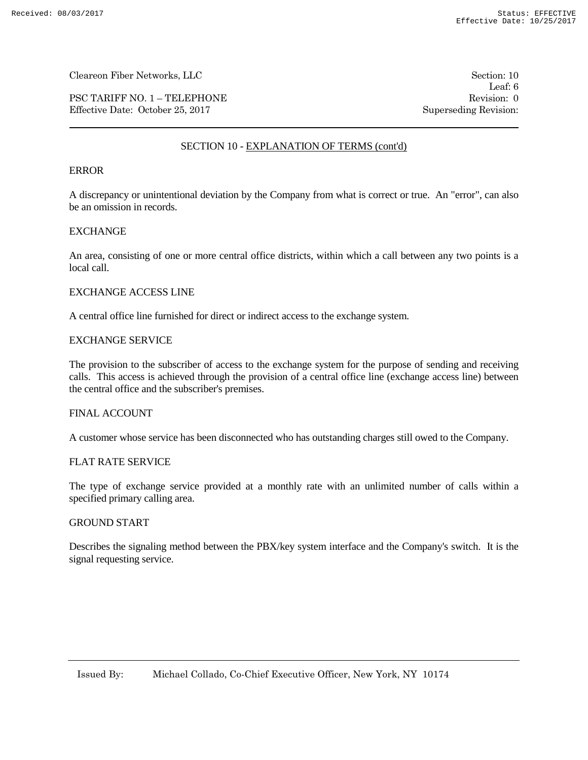PSC TARIFF NO. 1 – TELEPHONE Revision: 0 Effective Date: October 25, 2017 Superseding Revision:

Leaf: 6

# SECTION 10 - EXPLANATION OF TERMS (cont'd)

## ERROR

A discrepancy or unintentional deviation by the Company from what is correct or true. An "error", can also be an omission in records.

### **EXCHANGE**

An area, consisting of one or more central office districts, within which a call between any two points is a local call.

### EXCHANGE ACCESS LINE

A central office line furnished for direct or indirect access to the exchange system.

### EXCHANGE SERVICE

The provision to the subscriber of access to the exchange system for the purpose of sending and receiving calls. This access is achieved through the provision of a central office line (exchange access line) between the central office and the subscriber's premises.

#### FINAL ACCOUNT

A customer whose service has been disconnected who has outstanding charges still owed to the Company.

## FLAT RATE SERVICE

The type of exchange service provided at a monthly rate with an unlimited number of calls within a specified primary calling area.

# GROUND START

Describes the signaling method between the PBX/key system interface and the Company's switch. It is the signal requesting service.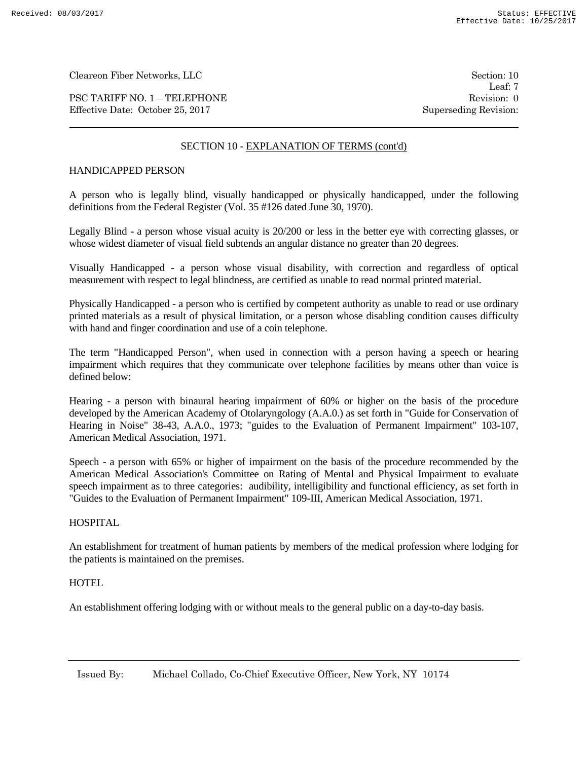PSC TARIFF NO. 1 – TELEPHONE Revision: 0 Effective Date: October 25, 2017 Superseding Revision:

Leaf: 7

# SECTION 10 - EXPLANATION OF TERMS (cont'd)

# HANDICAPPED PERSON

A person who is legally blind, visually handicapped or physically handicapped, under the following definitions from the Federal Register (Vol. 35 #126 dated June 30, 1970).

Legally Blind - a person whose visual acuity is 20/200 or less in the better eye with correcting glasses, or whose widest diameter of visual field subtends an angular distance no greater than 20 degrees.

Visually Handicapped - a person whose visual disability, with correction and regardless of optical measurement with respect to legal blindness, are certified as unable to read normal printed material.

Physically Handicapped - a person who is certified by competent authority as unable to read or use ordinary printed materials as a result of physical limitation, or a person whose disabling condition causes difficulty with hand and finger coordination and use of a coin telephone.

The term "Handicapped Person", when used in connection with a person having a speech or hearing impairment which requires that they communicate over telephone facilities by means other than voice is defined below:

Hearing - a person with binaural hearing impairment of 60% or higher on the basis of the procedure developed by the American Academy of Otolaryngology (A.A.0.) as set forth in "Guide for Conservation of Hearing in Noise" 38-43, A.A.0., 1973; "guides to the Evaluation of Permanent Impairment" 103-107, American Medical Association, 1971.

Speech - a person with 65% or higher of impairment on the basis of the procedure recommended by the American Medical Association's Committee on Rating of Mental and Physical Impairment to evaluate speech impairment as to three categories: audibility, intelligibility and functional efficiency, as set forth in "Guides to the Evaluation of Permanent Impairment" 109-III, American Medical Association, 1971.

# HOSPITAL

An establishment for treatment of human patients by members of the medical profession where lodging for the patients is maintained on the premises.

## HOTEL.

An establishment offering lodging with or without meals to the general public on a day-to-day basis.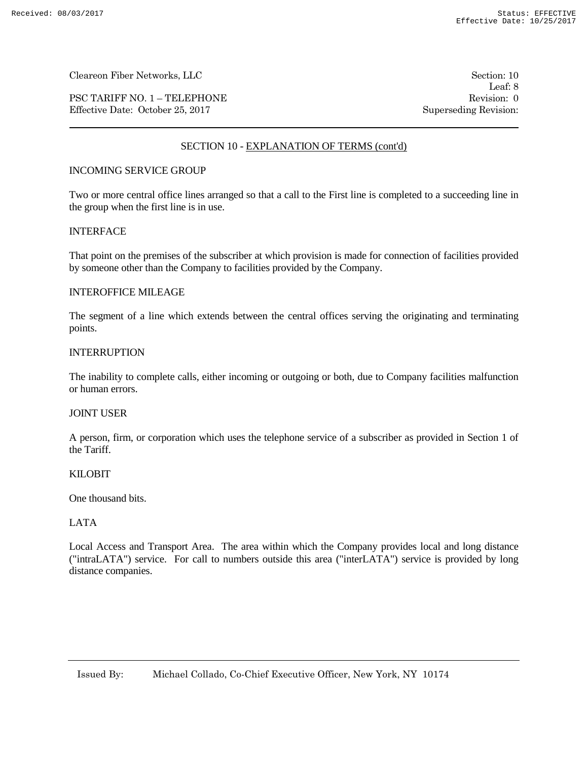PSC TARIFF NO. 1 – TELEPHONE Revision: 0 Effective Date: October 25, 2017 Superseding Revision:

Leaf: 8

# SECTION 10 - EXPLANATION OF TERMS (cont'd)

# INCOMING SERVICE GROUP

Two or more central office lines arranged so that a call to the First line is completed to a succeeding line in the group when the first line is in use.

## INTERFACE

That point on the premises of the subscriber at which provision is made for connection of facilities provided by someone other than the Company to facilities provided by the Company.

# INTEROFFICE MILEAGE

The segment of a line which extends between the central offices serving the originating and terminating points.

### INTERRUPTION

The inability to complete calls, either incoming or outgoing or both, due to Company facilities malfunction or human errors.

## JOINT USER

A person, firm, or corporation which uses the telephone service of a subscriber as provided in Section 1 of the Tariff.

#### KILOBIT

One thousand bits.

# LATA

Local Access and Transport Area. The area within which the Company provides local and long distance ("intraLATA") service. For call to numbers outside this area ("interLATA") service is provided by long distance companies.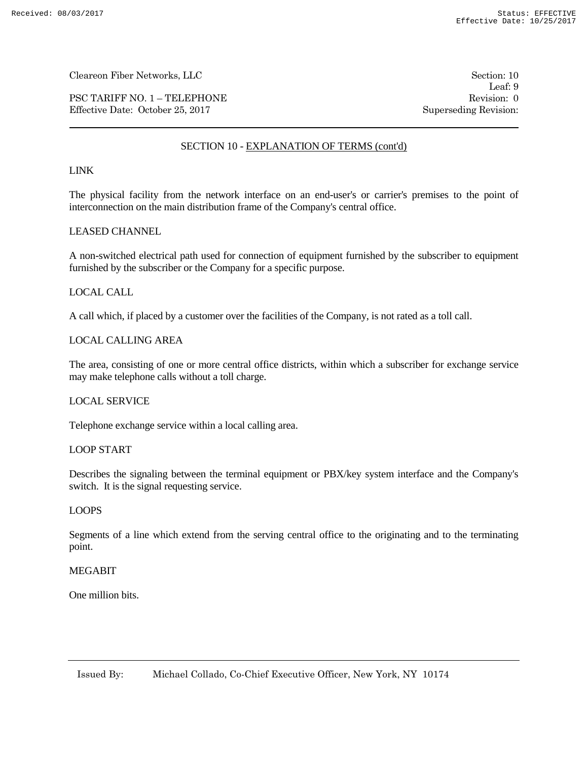PSC TARIFF NO. 1 – TELEPHONE Revision: 0 Effective Date: October 25, 2017 Superseding Revision:

Leaf: 9

# SECTION 10 - EXPLANATION OF TERMS (cont'd)

# LINK

The physical facility from the network interface on an end-user's or carrier's premises to the point of interconnection on the main distribution frame of the Company's central office.

### LEASED CHANNEL

A non-switched electrical path used for connection of equipment furnished by the subscriber to equipment furnished by the subscriber or the Company for a specific purpose.

### LOCAL CALL

A call which, if placed by a customer over the facilities of the Company, is not rated as a toll call.

## LOCAL CALLING AREA

The area, consisting of one or more central office districts, within which a subscriber for exchange service may make telephone calls without a toll charge.

### LOCAL SERVICE

Telephone exchange service within a local calling area.

### LOOP START

Describes the signaling between the terminal equipment or PBX/key system interface and the Company's switch. It is the signal requesting service.

#### LOOPS

Segments of a line which extend from the serving central office to the originating and to the terminating point.

# **MEGABIT**

One million bits.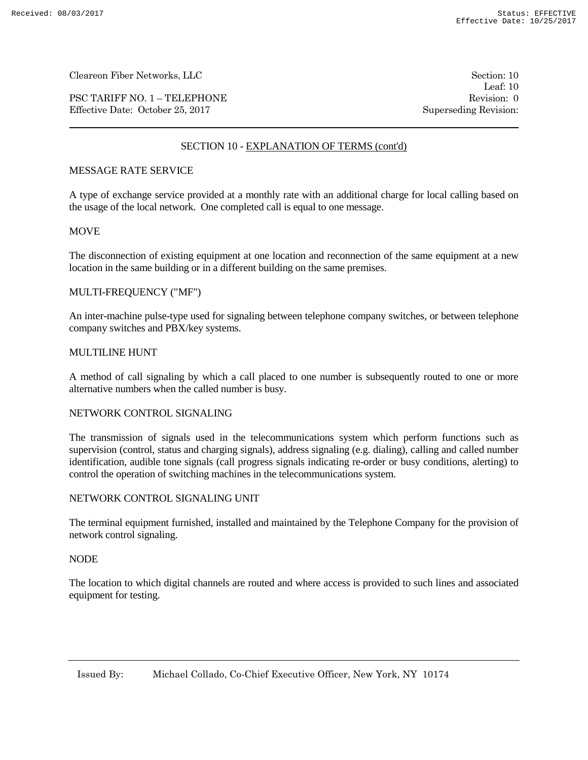PSC TARIFF NO. 1 – TELEPHONE Revision: 0 Effective Date: October 25, 2017 Superseding Revision:

Leaf: 10

# SECTION 10 - EXPLANATION OF TERMS (cont'd)

# MESSAGE RATE SERVICE

A type of exchange service provided at a monthly rate with an additional charge for local calling based on the usage of the local network. One completed call is equal to one message.

## **MOVE**

The disconnection of existing equipment at one location and reconnection of the same equipment at a new location in the same building or in a different building on the same premises.

# MULTI-FREQUENCY ("MF")

An inter-machine pulse-type used for signaling between telephone company switches, or between telephone company switches and PBX/key systems.

# MULTILINE HUNT

A method of call signaling by which a call placed to one number is subsequently routed to one or more alternative numbers when the called number is busy.

## NETWORK CONTROL SIGNALING

The transmission of signals used in the telecommunications system which perform functions such as supervision (control, status and charging signals), address signaling (e.g. dialing), calling and called number identification, audible tone signals (call progress signals indicating re-order or busy conditions, alerting) to control the operation of switching machines in the telecommunications system.

# NETWORK CONTROL SIGNALING UNIT

The terminal equipment furnished, installed and maintained by the Telephone Company for the provision of network control signaling.

## NODE

The location to which digital channels are routed and where access is provided to such lines and associated equipment for testing.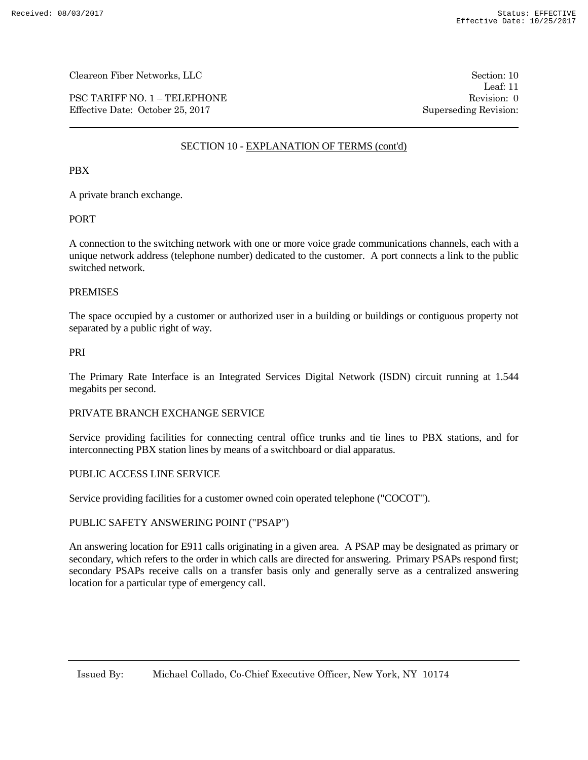PSC TARIFF NO. 1 – TELEPHONE Revision: 0 Effective Date: October 25, 2017 Superseding Revision:

Leaf: 11

# SECTION 10 - EXPLANATION OF TERMS (cont'd)

# PBX

A private branch exchange.

# PORT

A connection to the switching network with one or more voice grade communications channels, each with a unique network address (telephone number) dedicated to the customer. A port connects a link to the public switched network.

## PREMISES

The space occupied by a customer or authorized user in a building or buildings or contiguous property not separated by a public right of way.

### PRI

The Primary Rate Interface is an Integrated Services Digital Network (ISDN) circuit running at 1.544 megabits per second.

## PRIVATE BRANCH EXCHANGE SERVICE

Service providing facilities for connecting central office trunks and tie lines to PBX stations, and for interconnecting PBX station lines by means of a switchboard or dial apparatus.

## PUBLIC ACCESS LINE SERVICE

Service providing facilities for a customer owned coin operated telephone ("COCOT").

# PUBLIC SAFETY ANSWERING POINT ("PSAP")

An answering location for E911 calls originating in a given area. A PSAP may be designated as primary or secondary, which refers to the order in which calls are directed for answering. Primary PSAPs respond first; secondary PSAPs receive calls on a transfer basis only and generally serve as a centralized answering location for a particular type of emergency call.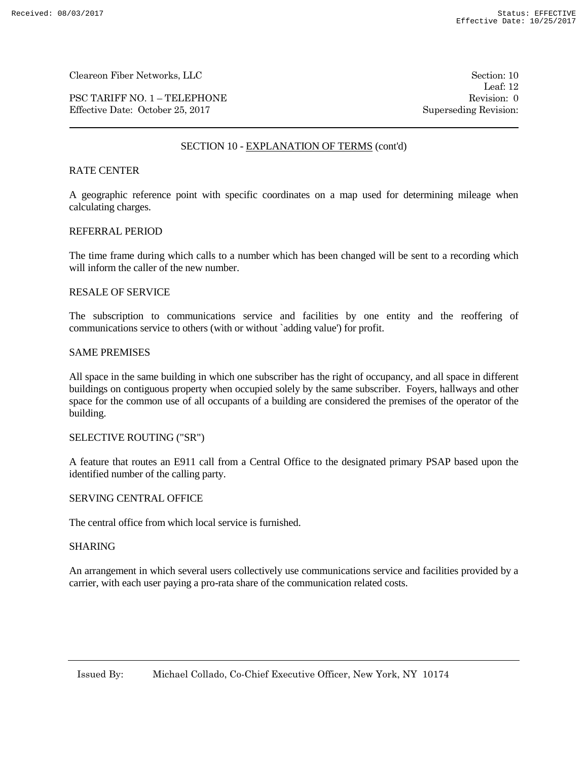PSC TARIFF NO. 1 – TELEPHONE Revision: 0 Effective Date: October 25, 2017 Superseding Revision:

Leaf: 12

# SECTION 10 - EXPLANATION OF TERMS (cont'd)

## RATE CENTER

A geographic reference point with specific coordinates on a map used for determining mileage when calculating charges.

### REFERRAL PERIOD

The time frame during which calls to a number which has been changed will be sent to a recording which will inform the caller of the new number.

### RESALE OF SERVICE

The subscription to communications service and facilities by one entity and the reoffering of communications service to others (with or without `adding value') for profit.

#### SAME PREMISES

All space in the same building in which one subscriber has the right of occupancy, and all space in different buildings on contiguous property when occupied solely by the same subscriber. Foyers, hallways and other space for the common use of all occupants of a building are considered the premises of the operator of the building.

# SELECTIVE ROUTING ("SR")

A feature that routes an E911 call from a Central Office to the designated primary PSAP based upon the identified number of the calling party.

# SERVING CENTRAL OFFICE

The central office from which local service is furnished.

#### SHARING

An arrangement in which several users collectively use communications service and facilities provided by a carrier, with each user paying a pro-rata share of the communication related costs.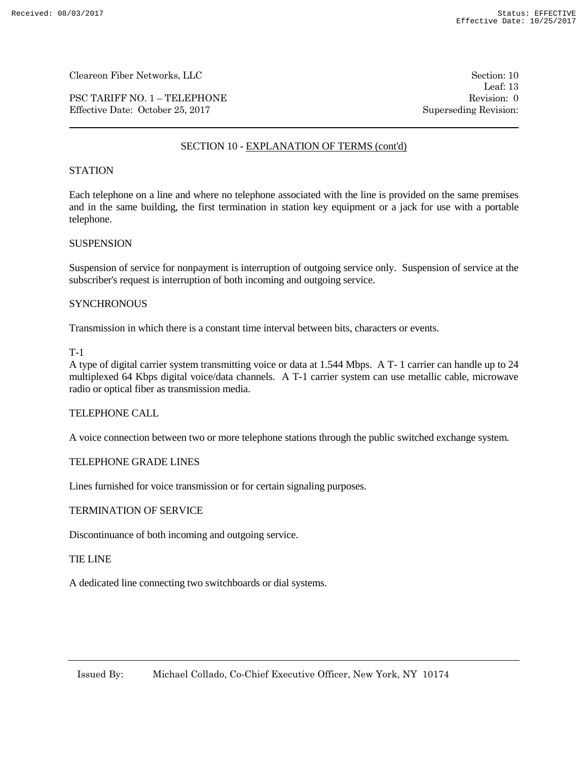PSC TARIFF NO. 1 – TELEPHONE Revision: 0 Effective Date: October 25, 2017 Superseding Revision:

Leaf: 13

# SECTION 10 - EXPLANATION OF TERMS (cont'd)

## **STATION**

Each telephone on a line and where no telephone associated with the line is provided on the same premises and in the same building, the first termination in station key equipment or a jack for use with a portable telephone.

## **SUSPENSION**

Suspension of service for nonpayment is interruption of outgoing service only. Suspension of service at the subscriber's request is interruption of both incoming and outgoing service.

## **SYNCHRONOUS**

Transmission in which there is a constant time interval between bits, characters or events.

#### T-1

A type of digital carrier system transmitting voice or data at 1.544 Mbps. A T- 1 carrier can handle up to 24 multiplexed 64 Kbps digital voice/data channels. A T-1 carrier system can use metallic cable, microwave radio or optical fiber as transmission media.

## TELEPHONE CALL

A voice connection between two or more telephone stations through the public switched exchange system.

## TELEPHONE GRADE LINES

Lines furnished for voice transmission or for certain signaling purposes.

#### TERMINATION OF SERVICE

Discontinuance of both incoming and outgoing service.

#### TIE LINE

A dedicated line connecting two switchboards or dial systems.